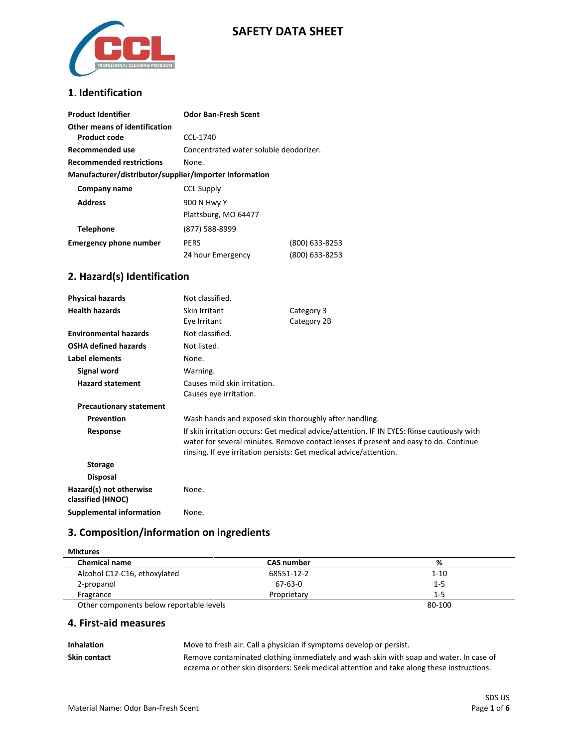

### **SAFETY DATA SHEET**

### **1**. **Identification**

| <b>Product Identifier</b>                              | <b>Odor Ban-Fresh Scent</b>            |                |
|--------------------------------------------------------|----------------------------------------|----------------|
| Other means of identification<br>Product code          | CCL-1740                               |                |
| Recommended use                                        | Concentrated water soluble deodorizer. |                |
| <b>Recommended restrictions</b>                        | None.                                  |                |
| Manufacturer/distributor/supplier/importer information |                                        |                |
| Company name                                           | <b>CCL Supply</b>                      |                |
| <b>Address</b>                                         | 900 N Hwy Y                            |                |
|                                                        | Plattsburg, MO 64477                   |                |
| <b>Telephone</b>                                       | (877) 588-8999                         |                |
| <b>Emergency phone number</b>                          | <b>PERS</b>                            | (800) 633-8253 |
|                                                        | 24 hour Emergency                      | (800) 633-8253 |

### **2. Hazard(s) Identification**

| <b>Physical hazards</b>                      | Not classified.                                                                                                                                                                                                                                          |                           |
|----------------------------------------------|----------------------------------------------------------------------------------------------------------------------------------------------------------------------------------------------------------------------------------------------------------|---------------------------|
| <b>Health hazards</b>                        | Skin Irritant<br>Eye Irritant                                                                                                                                                                                                                            | Category 3<br>Category 2B |
| <b>Environmental hazards</b>                 | Not classified.                                                                                                                                                                                                                                          |                           |
| <b>OSHA defined hazards</b>                  | Not listed.                                                                                                                                                                                                                                              |                           |
| Label elements                               | None.                                                                                                                                                                                                                                                    |                           |
| Signal word                                  | Warning.                                                                                                                                                                                                                                                 |                           |
| <b>Hazard statement</b>                      | Causes mild skin irritation.<br>Causes eye irritation.                                                                                                                                                                                                   |                           |
| <b>Precautionary statement</b>               |                                                                                                                                                                                                                                                          |                           |
| Prevention                                   | Wash hands and exposed skin thoroughly after handling.                                                                                                                                                                                                   |                           |
| Response                                     | If skin irritation occurs: Get medical advice/attention. IF IN EYES: Rinse cautiously with<br>water for several minutes. Remove contact lenses if present and easy to do. Continue<br>rinsing. If eye irritation persists: Get medical advice/attention. |                           |
| <b>Storage</b>                               |                                                                                                                                                                                                                                                          |                           |
| <b>Disposal</b>                              |                                                                                                                                                                                                                                                          |                           |
| Hazard(s) not otherwise<br>classified (HNOC) | None.                                                                                                                                                                                                                                                    |                           |
| <b>Supplemental information</b>              | None.                                                                                                                                                                                                                                                    |                           |

# **3. Composition/information on ingredients**

| <b>Mixtures</b>                          |                   |          |  |
|------------------------------------------|-------------------|----------|--|
| <b>Chemical name</b>                     | <b>CAS number</b> | %        |  |
| Alcohol C12-C16, ethoxylated             | 68551-12-2        | $1 - 10$ |  |
| 2-propanol                               | 67-63-0           | $1 - 5$  |  |
| Fragrance                                | Proprietary       | $1 - 5$  |  |
| Other components below reportable levels |                   | 80-100   |  |

### **4. First-aid measures**

| <b>Inhalation</b> | Move to fresh air. Call a physician if symptoms develop or persist.                       |
|-------------------|-------------------------------------------------------------------------------------------|
| Skin contact      | Remove contaminated clothing immediately and wash skin with soap and water. In case of    |
|                   | eczema or other skin disorders: Seek medical attention and take along these instructions. |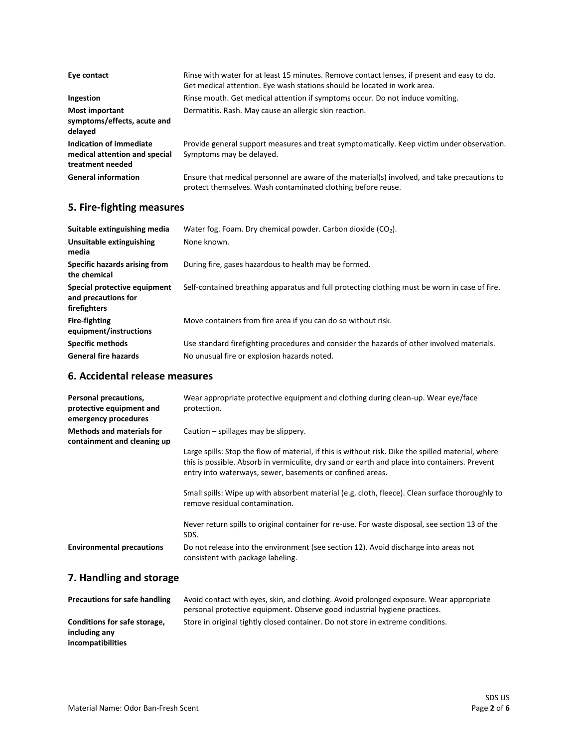| Eye contact                                                                  | Rinse with water for at least 15 minutes. Remove contact lenses, if present and easy to do.<br>Get medical attention. Eye wash stations should be located in work area. |
|------------------------------------------------------------------------------|-------------------------------------------------------------------------------------------------------------------------------------------------------------------------|
| Ingestion                                                                    | Rinse mouth. Get medical attention if symptoms occur. Do not induce vomiting.                                                                                           |
| Most important<br>symptoms/effects, acute and<br>delayed                     | Dermatitis. Rash. May cause an allergic skin reaction.                                                                                                                  |
| Indication of immediate<br>medical attention and special<br>treatment needed | Provide general support measures and treat symptomatically. Keep victim under observation.<br>Symptoms may be delayed.                                                  |
| <b>General information</b>                                                   | Ensure that medical personnel are aware of the material(s) involved, and take precautions to<br>protect themselves. Wash contaminated clothing before reuse.            |

### **5. Fire-fighting measures**

| Suitable extinguishing media                                        | Water fog. Foam. Dry chemical powder. Carbon dioxide $(CO2)$ .                                |  |
|---------------------------------------------------------------------|-----------------------------------------------------------------------------------------------|--|
| Unsuitable extinguishing<br>media                                   | None known.                                                                                   |  |
| Specific hazards arising from<br>the chemical                       | During fire, gases hazardous to health may be formed.                                         |  |
| Special protective equipment<br>and precautions for<br>firefighters | Self-contained breathing apparatus and full protecting clothing must be worn in case of fire. |  |
| <b>Fire-fighting</b><br>equipment/instructions                      | Move containers from fire area if you can do so without risk.                                 |  |
| <b>Specific methods</b>                                             | Use standard firefighting procedures and consider the hazards of other involved materials.    |  |
| <b>General fire hazards</b>                                         | No unusual fire or explosion hazards noted.                                                   |  |

### **6. Accidental release measures**

| Personal precautions,<br>protective equipment and<br>emergency procedures | Wear appropriate protective equipment and clothing during clean-up. Wear eye/face<br>protection.                                                                                                                                                                 |
|---------------------------------------------------------------------------|------------------------------------------------------------------------------------------------------------------------------------------------------------------------------------------------------------------------------------------------------------------|
| <b>Methods and materials for</b><br>containment and cleaning up           | Caution – spillages may be slippery.                                                                                                                                                                                                                             |
|                                                                           | Large spills: Stop the flow of material, if this is without risk. Dike the spilled material, where<br>this is possible. Absorb in vermiculite, dry sand or earth and place into containers. Prevent<br>entry into waterways, sewer, basements or confined areas. |
|                                                                           | Small spills: Wipe up with absorbent material (e.g. cloth, fleece). Clean surface thoroughly to<br>remove residual contamination.                                                                                                                                |
|                                                                           | Never return spills to original container for re-use. For waste disposal, see section 13 of the<br>SDS.                                                                                                                                                          |
| <b>Environmental precautions</b>                                          | Do not release into the environment (see section 12). Avoid discharge into areas not<br>consistent with package labeling.                                                                                                                                        |

# **7. Handling and storage**

| <b>Precautions for safe handling</b> | Avoid contact with eyes, skin, and clothing. Avoid prolonged exposure. Wear appropriate |
|--------------------------------------|-----------------------------------------------------------------------------------------|
|                                      | personal protective equipment. Observe good industrial hygiene practices.               |
| Conditions for safe storage,         | Store in original tightly closed container. Do not store in extreme conditions.         |
| including any                        |                                                                                         |
| incompatibilities                    |                                                                                         |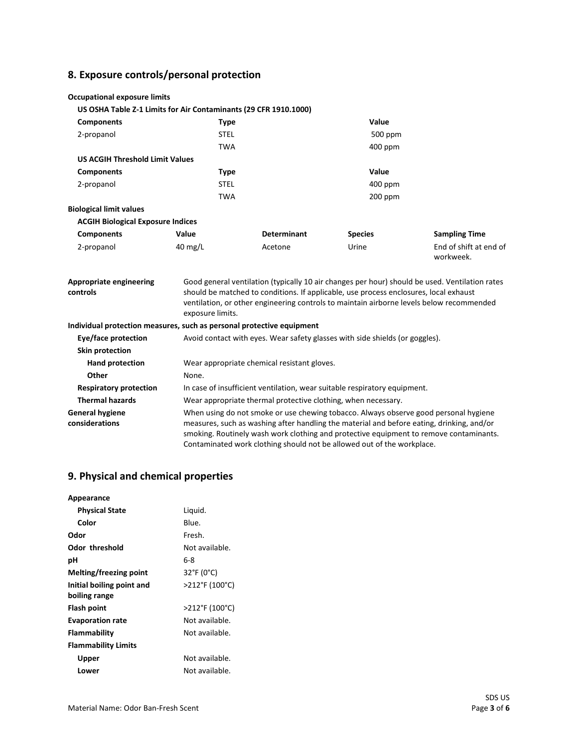# **8. Exposure controls/personal protection**

| <b>Occupational exposure limits</b>                              |                   |                    |                |                                                                                                |
|------------------------------------------------------------------|-------------------|--------------------|----------------|------------------------------------------------------------------------------------------------|
| US OSHA Table Z-1 Limits for Air Contaminants (29 CFR 1910.1000) |                   |                    |                |                                                                                                |
| <b>Components</b>                                                | <b>Type</b>       |                    | Value          |                                                                                                |
| 2-propanol                                                       | <b>STEL</b>       |                    | 500 ppm        |                                                                                                |
|                                                                  | <b>TWA</b>        |                    | $400$ ppm      |                                                                                                |
| <b>US ACGIH Threshold Limit Values</b>                           |                   |                    |                |                                                                                                |
| <b>Components</b>                                                | Type              |                    | Value          |                                                                                                |
| 2-propanol<br><b>STEL</b>                                        |                   |                    | $400$ ppm      |                                                                                                |
|                                                                  | <b>TWA</b>        |                    | $200$ ppm      |                                                                                                |
| <b>Biological limit values</b>                                   |                   |                    |                |                                                                                                |
| <b>ACGIH Biological Exposure Indices</b>                         |                   |                    |                |                                                                                                |
| <b>Components</b>                                                | Value             | <b>Determinant</b> | <b>Species</b> | <b>Sampling Time</b>                                                                           |
| 2-propanol                                                       | $40 \text{ mg/L}$ | Acetone            | Urine          | End of shift at end of<br>workweek.                                                            |
| <b>Appropriate engineering</b>                                   |                   |                    |                | Good general ventilation (typically 10 air changes per hour) should be used. Ventilation rates |

| controls                                 | should be matched to conditions. If applicable, use process enclosures, local exhaust<br>ventilation, or other engineering controls to maintain airborne levels below recommended<br>exposure limits.                                                                                                                                                 |  |
|------------------------------------------|-------------------------------------------------------------------------------------------------------------------------------------------------------------------------------------------------------------------------------------------------------------------------------------------------------------------------------------------------------|--|
|                                          | Individual protection measures, such as personal protective equipment                                                                                                                                                                                                                                                                                 |  |
| Eye/face protection                      | Avoid contact with eyes. Wear safety glasses with side shields (or goggles).                                                                                                                                                                                                                                                                          |  |
| Skin protection                          |                                                                                                                                                                                                                                                                                                                                                       |  |
| <b>Hand protection</b>                   | Wear appropriate chemical resistant gloves.                                                                                                                                                                                                                                                                                                           |  |
| Other                                    | None.                                                                                                                                                                                                                                                                                                                                                 |  |
| <b>Respiratory protection</b>            | In case of insufficient ventilation, wear suitable respiratory equipment.                                                                                                                                                                                                                                                                             |  |
| <b>Thermal hazards</b>                   | Wear appropriate thermal protective clothing, when necessary.                                                                                                                                                                                                                                                                                         |  |
| <b>General hygiene</b><br>considerations | When using do not smoke or use chewing tobacco. Always observe good personal hygiene<br>measures, such as washing after handling the material and before eating, drinking, and/or<br>smoking. Routinely wash work clothing and protective equipment to remove contaminants.<br>Contaminated work clothing should not be allowed out of the workplace. |  |

# **9. Physical and chemical properties**

| Appearance                 |                |
|----------------------------|----------------|
| <b>Physical State</b>      | Liquid.        |
| Color                      | Blue.          |
| Odor                       | Fresh.         |
| Odor threshold             | Not available. |
| рH                         | հ-8            |
| Melting/freezing point     | 32°F (0°C)     |
| Initial boiling point and  | >212°F (100°C) |
| boiling range              |                |
| Flash point                | >212°F (100°C) |
| <b>Evaporation rate</b>    | Not available. |
| Flammability               | Not available. |
| <b>Flammability Limits</b> |                |
| <b>Upper</b>               | Not available. |
| Lower                      | Not available. |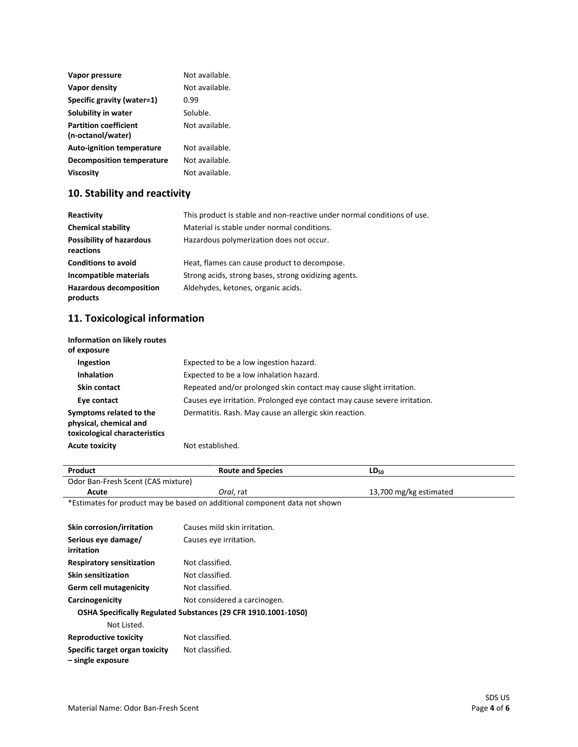| Vapor pressure                                    | Not available. |
|---------------------------------------------------|----------------|
| Vapor density                                     | Not available. |
| Specific gravity (water=1)                        | በ.ዓዓ           |
| Solubility in water                               | Soluble.       |
| <b>Partition coefficient</b><br>(n-octanol/water) | Not available. |
| <b>Auto-ignition temperature</b>                  | Not available. |
| Decomposition temperature                         | Not available. |
| Viscosity                                         | Not available. |

# **10. Stability and reactivity**

| Reactivity                                   | This product is stable and non-reactive under normal conditions of use. |
|----------------------------------------------|-------------------------------------------------------------------------|
| <b>Chemical stability</b>                    | Material is stable under normal conditions.                             |
| <b>Possibility of hazardous</b><br>reactions | Hazardous polymerization does not occur.                                |
| <b>Conditions to avoid</b>                   | Heat, flames can cause product to decompose.                            |
| Incompatible materials                       | Strong acids, strong bases, strong oxidizing agents.                    |
| <b>Hazardous decomposition</b><br>products   | Aldehydes, ketones, organic acids.                                      |

# **11. Toxicological information**

| Information on likely routes<br>of exposure                                        |                                                                           |
|------------------------------------------------------------------------------------|---------------------------------------------------------------------------|
| Ingestion                                                                          | Expected to be a low ingestion hazard.                                    |
| <b>Inhalation</b>                                                                  | Expected to be a low inhalation hazard.                                   |
| Skin contact                                                                       | Repeated and/or prolonged skin contact may cause slight irritation.       |
| Eye contact                                                                        | Causes eye irritation. Prolonged eye contact may cause severe irritation. |
| Symptoms related to the<br>physical, chemical and<br>toxicological characteristics | Dermatitis. Rash. May cause an allergic skin reaction.                    |
| <b>Acute toxicity</b>                                                              | Not established.                                                          |

| Product                            | <b>Route and Species</b>                                                   | $LD_{50}$              |
|------------------------------------|----------------------------------------------------------------------------|------------------------|
| Odor Ban-Fresh Scent (CAS mixture) |                                                                            |                        |
| Acute                              | Oral. rat                                                                  | 13,700 mg/kg estimated |
|                                    | *Estimates for product may be based on additional component data not shown |                        |
|                                    |                                                                            |                        |
| Skin corrosion/irritation          | Causes mild skin irritation.                                               |                        |
| Serious eye damage/                | Causes eye irritation.                                                     |                        |
| irritation                         |                                                                            |                        |
|                                    |                                                                            |                        |

| <b>Respiratory sensitization</b> | Not classified.                                                |
|----------------------------------|----------------------------------------------------------------|
| Skin sensitization               | Not classified.                                                |
| Germ cell mutagenicity           | Not classified.                                                |
| Carcinogenicity                  | Not considered a carcinogen.                                   |
|                                  | OSHA Specifically Regulated Substances (29 CFR 1910.1001-1050) |
| Not Listed.                      |                                                                |
| <b>Reproductive toxicity</b>     | Not classified.                                                |
| Specific target organ toxicity   | Not classified.                                                |

**– single exposure**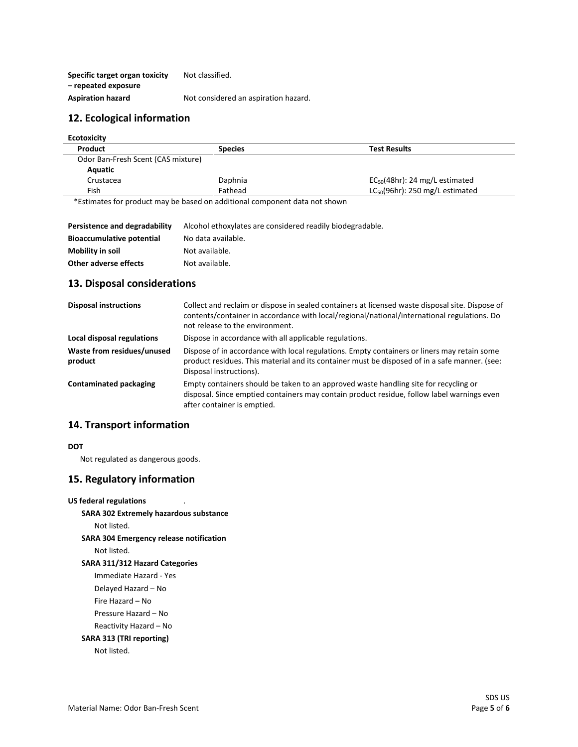**Specific target organ toxicity – repeated exposure** Not classified. Aspiration hazard **Not considered an aspiration hazard.** 

#### **12. Ecological information**

| Product                            | <b>Species</b> | <b>Test Results</b>                  |
|------------------------------------|----------------|--------------------------------------|
| Odor Ban-Fresh Scent (CAS mixture) |                |                                      |
| Aquatic                            |                |                                      |
| Crustacea                          | Daphnia        | $EC_{50}(48hr)$ : 24 mg/L estimated  |
| Fish                               | Fathead        | $LC_{50}(96hr)$ : 250 mg/L estimated |

\*Estimates for product may be based on additional component data not shown

| Persistence and degradability    | Alcohol ethoxylates are considered readily biodegradable. |
|----------------------------------|-----------------------------------------------------------|
| <b>Bioaccumulative potential</b> | No data available.                                        |
| Mobility in soil                 | Not available.                                            |
| Other adverse effects            | Not available.                                            |

#### **13. Disposal considerations**

| <b>Disposal instructions</b>          | Collect and reclaim or dispose in sealed containers at licensed waste disposal site. Dispose of<br>contents/container in accordance with local/regional/national/international regulations. Do<br>not release to the environment. |
|---------------------------------------|-----------------------------------------------------------------------------------------------------------------------------------------------------------------------------------------------------------------------------------|
| Local disposal regulations            | Dispose in accordance with all applicable regulations.                                                                                                                                                                            |
| Waste from residues/unused<br>product | Dispose of in accordance with local regulations. Empty containers or liners may retain some<br>product residues. This material and its container must be disposed of in a safe manner. (see:<br>Disposal instructions).           |
| <b>Contaminated packaging</b>         | Empty containers should be taken to an approved waste handling site for recycling or<br>disposal. Since emptied containers may contain product residue, follow label warnings even<br>after container is emptied.                 |

#### **14. Transport information**

#### **DOT**

Not regulated as dangerous goods.

#### **15. Regulatory information**

#### **US federal regulations**

**SARA 302 Extremely hazardous substance**

Not listed.

**SARA 304 Emergency release notification**

Not listed.

#### **SARA 311/312 Hazard Categories**

Immediate Hazard - Yes

Delayed Hazard – No

Fire Hazard – No

Pressure Hazard – No

#### Reactivity Hazard – No

### **SARA 313 (TRI reporting)**

Not listed.